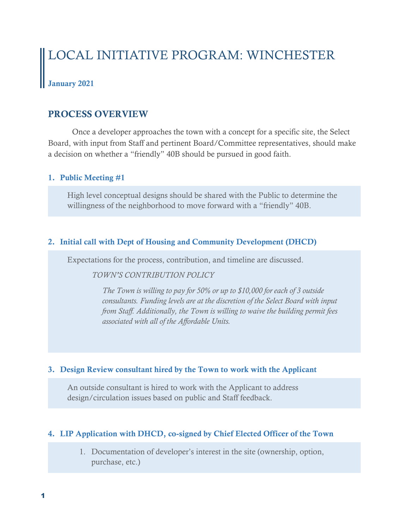# LOCAL INITIATIVE PROGRAM: WINCHESTER

# January 2021

# PROCESS OVERVIEW

Once a developer approaches the town with a concept for a specific site, the Select Board, with input from Staff and pertinent Board/Committee representatives, should make a decision on whether a "friendly" 40B should be pursued in good faith.

#### 1. Public Meeting #1

High level conceptual designs should be shared with the Public to determine the willingness of the neighborhood to move forward with a "friendly" 40B.

## 2. Initial call with Dept of Housing and Community Development (DHCD)

Expectations for the process, contribution, and timeline are discussed.

#### *TOWN'S CONTRIBUTION POLICY*

*The Town is willing to pay for 50% or up to \$10,000 for each of 3 outside consultants. Funding levels are at the discretion of the Select Board with input from Staff. Additionally, the Town is willing to waive the building permit fees associated with all of the Affordable Units.*

## 3. Design Review consultant hired by the Town to work with the Applicant

An outside consultant is hired to work with the Applicant to address design/circulation issues based on public and Staff feedback.

## 4. LIP Application with DHCD, co-signed by Chief Elected Officer of the Town

1. Documentation of developer's interest in the site (ownership, option, purchase, etc.)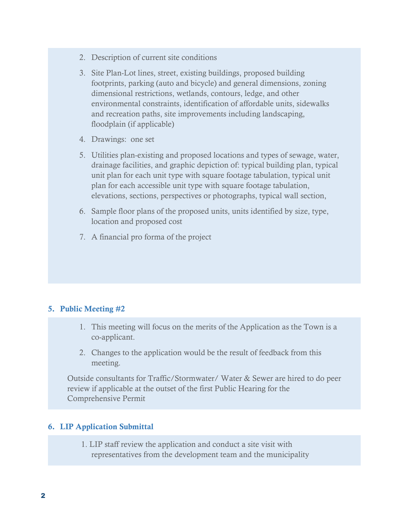- 2. Description of current site conditions
- 3. Site Plan-Lot lines, street, existing buildings, proposed building footprints, parking (auto and bicycle) and general dimensions, zoning dimensional restrictions, wetlands, contours, ledge, and other environmental constraints, identification of affordable units, sidewalks and recreation paths, site improvements including landscaping, floodplain (if applicable)
- 4. Drawings: one set
- 5. Utilities plan-existing and proposed locations and types of sewage, water, drainage facilities, and graphic depiction of: typical building plan, typical unit plan for each unit type with square footage tabulation, typical unit plan for each accessible unit type with square footage tabulation, elevations, sections, perspectives or photographs, typical wall section,
- 6. Sample floor plans of the proposed units, units identified by size, type, location and proposed cost
- 7. A financial pro forma of the project

## 5. Public Meeting #2

- 1. This meeting will focus on the merits of the Application as the Town is a co-applicant.
- 2. Changes to the application would be the result of feedback from this meeting.

Outside consultants for Traffic/Stormwater/ Water & Sewer are hired to do peer review if applicable at the outset of the first Public Hearing for the Comprehensive Permit

#### 6. LIP Application Submittal

1. LIP staff review the application and conduct a site visit with representatives from the development team and the municipality